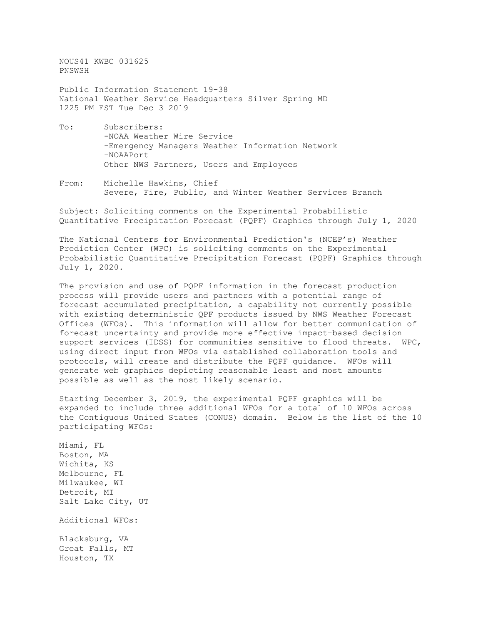NOUS41 KWBC 031625 PNSWSH

Public Information Statement 19-38 National Weather Service Headquarters Silver Spring MD 1225 PM EST Tue Dec 3 2019

- To: Subscribers: -NOAA Weather Wire Service -Emergency Managers Weather Information Network -NOAAPort Other NWS Partners, Users and Employees
- From: Michelle Hawkins, Chief Severe, Fire, Public, and Winter Weather Services Branch

Subject: Soliciting comments on the Experimental Probabilistic Quantitative Precipitation Forecast (PQPF) Graphics through July 1, 2020

The National Centers for Environmental Prediction's (NCEP's) Weather Prediction Center (WPC) is soliciting comments on the Experimental Probabilistic Quantitative Precipitation Forecast (PQPF) Graphics through July 1, 2020.

The provision and use of PQPF information in the forecast production process will provide users and partners with a potential range of forecast accumulated precipitation, a capability not currently possible with existing deterministic QPF products issued by NWS Weather Forecast Offices (WFOs). This information will allow for better communication of forecast uncertainty and provide more effective impact-based decision support services (IDSS) for communities sensitive to flood threats. WPC, using direct input from WFOs via established collaboration tools and protocols, will create and distribute the PQPF guidance. WFOs will generate web graphics depicting reasonable least and most amounts possible as well as the most likely scenario.

Starting December 3, 2019, the experimental PQPF graphics will be expanded to include three additional WFOs for a total of 10 WFOs across the Contiguous United States (CONUS) domain. Below is the list of the 10 participating WFOs:

Miami, FL Boston, MA Wichita, KS Melbourne, FL Milwaukee, WI Detroit, MI Salt Lake City, UT Additional WFOs: Blacksburg, VA Great Falls, MT Houston, TX